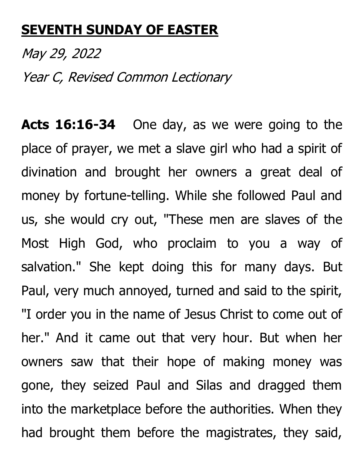## **SEVENTH SUNDAY OF EASTER**

May 29, 2022 Year C, Revised Common Lectionary

**Acts 16:16-34** One day, as we were going to the place of prayer, we met a slave girl who had a spirit of divination and brought her owners a great deal of money by fortune-telling. While she followed Paul and us, she would cry out, "These men are slaves of the Most High God, who proclaim to you a way of salvation." She kept doing this for many days. But Paul, very much annoyed, turned and said to the spirit, "I order you in the name of Jesus Christ to come out of her." And it came out that very hour. But when her owners saw that their hope of making money was gone, they seized Paul and Silas and dragged them into the marketplace before the authorities. When they had brought them before the magistrates, they said,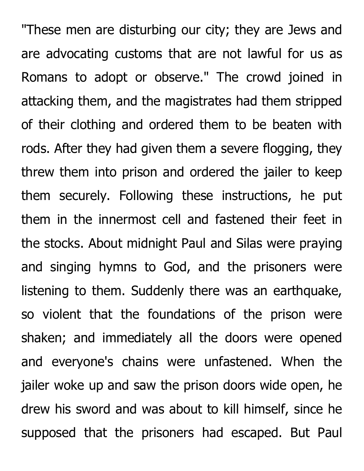"These men are disturbing our city; they are Jews and are advocating customs that are not lawful for us as Romans to adopt or observe." The crowd joined in attacking them, and the magistrates had them stripped of their clothing and ordered them to be beaten with rods. After they had given them a severe flogging, they threw them into prison and ordered the jailer to keep them securely. Following these instructions, he put them in the innermost cell and fastened their feet in the stocks. About midnight Paul and Silas were praying and singing hymns to God, and the prisoners were listening to them. Suddenly there was an earthquake, so violent that the foundations of the prison were shaken; and immediately all the doors were opened and everyone's chains were unfastened. When the jailer woke up and saw the prison doors wide open, he drew his sword and was about to kill himself, since he supposed that the prisoners had escaped. But Paul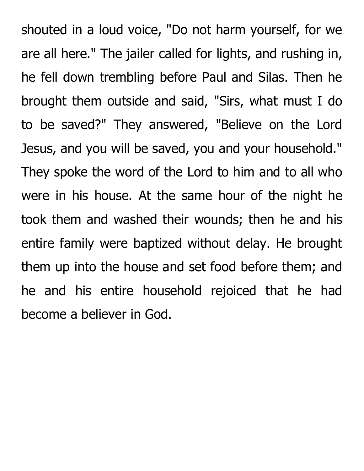shouted in a loud voice, "Do not harm yourself, for we are all here." The jailer called for lights, and rushing in, he fell down trembling before Paul and Silas. Then he brought them outside and said, "Sirs, what must I do to be saved?" They answered, "Believe on the Lord Jesus, and you will be saved, you and your household." They spoke the word of the Lord to him and to all who were in his house. At the same hour of the night he took them and washed their wounds; then he and his entire family were baptized without delay. He brought them up into the house and set food before them; and he and his entire household rejoiced that he had become a believer in God.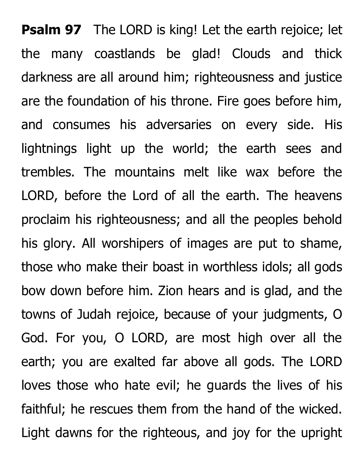**Psalm 97** The LORD is king! Let the earth rejoice; let the many coastlands be glad! Clouds and thick darkness are all around him; righteousness and justice are the foundation of his throne. Fire goes before him, and consumes his adversaries on every side. His lightnings light up the world; the earth sees and trembles. The mountains melt like wax before the LORD, before the Lord of all the earth. The heavens proclaim his righteousness; and all the peoples behold his glory. All worshipers of images are put to shame, those who make their boast in worthless idols; all gods bow down before him. Zion hears and is glad, and the towns of Judah rejoice, because of your judgments, O God. For you, O LORD, are most high over all the earth; you are exalted far above all gods. The LORD loves those who hate evil; he guards the lives of his faithful; he rescues them from the hand of the wicked. Light dawns for the righteous, and joy for the upright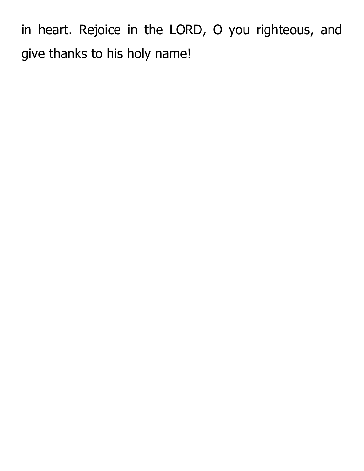in heart. Rejoice in the LORD, O you righteous, and give thanks to his holy name!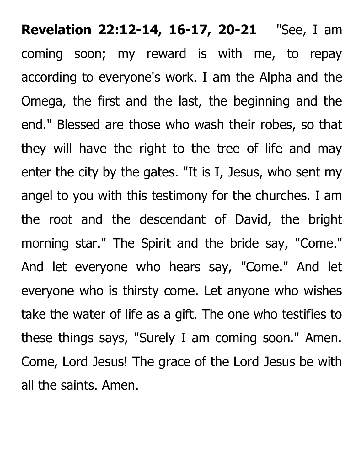**Revelation 22:12-14, 16-17, 20-21** "See, I am coming soon; my reward is with me, to repay according to everyone's work. I am the Alpha and the Omega, the first and the last, the beginning and the end." Blessed are those who wash their robes, so that they will have the right to the tree of life and may enter the city by the gates. "It is I, Jesus, who sent my angel to you with this testimony for the churches. I am the root and the descendant of David, the bright morning star." The Spirit and the bride say, "Come." And let everyone who hears say, "Come." And let everyone who is thirsty come. Let anyone who wishes take the water of life as a gift. The one who testifies to these things says, "Surely I am coming soon." Amen. Come, Lord Jesus! The grace of the Lord Jesus be with all the saints. Amen.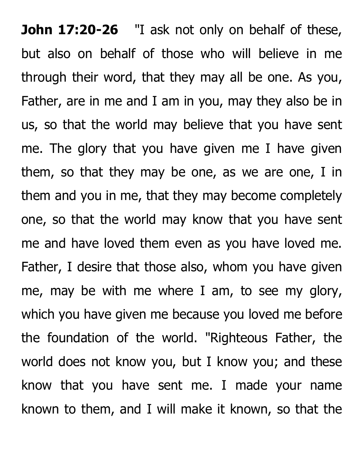**John 17:20-26** "I ask not only on behalf of these, but also on behalf of those who will believe in me through their word, that they may all be one. As you, Father, are in me and I am in you, may they also be in us, so that the world may believe that you have sent me. The glory that you have given me I have given them, so that they may be one, as we are one, I in them and you in me, that they may become completely one, so that the world may know that you have sent me and have loved them even as you have loved me. Father, I desire that those also, whom you have given me, may be with me where I am, to see my glory, which you have given me because you loved me before the foundation of the world. "Righteous Father, the world does not know you, but I know you; and these know that you have sent me. I made your name known to them, and I will make it known, so that the